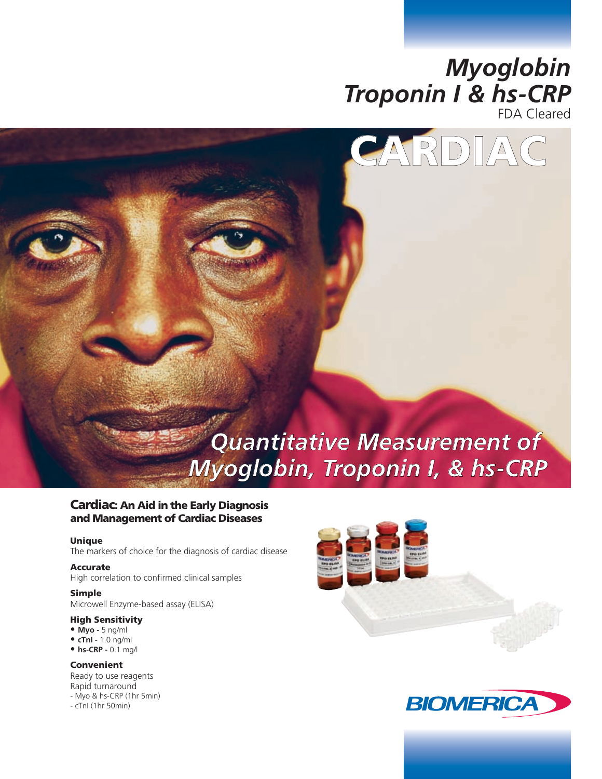



# *Quantitative Measurement of Myoglobin, Troponin I, & hs-CRP*

### Cardiac: An Aid in the Early Diagnosis and Management of Cardiac Diseases

#### Unique

The markers of choice for the diagnosis of cardiac disease

### Accurate

High correlation to confirmed clinical samples

#### Simple

Microwell Enzyme-based assay (ELISA)

### High Sensitivity

- **Myo** 5 ng/ml
- **cTnI** 1.0 ng/ml
- **hs-CRP -** 0.1 mg/l

### Convenient

Ready to use reagents Rapid turnaround - Myo & hs-CRP (1hr 5min) - cTnI (1hr 50min)